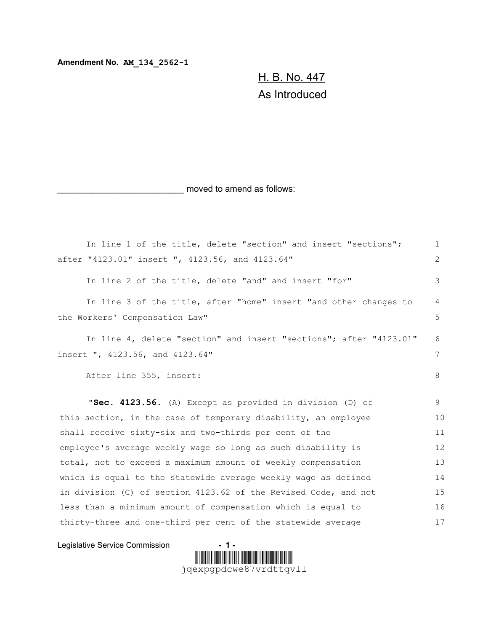**Amendment No. AM\_134\_2562-1**

H. B. No. 447 As Introduced

## moved to amend as follows:

| In line 1 of the title, delete "section" and insert "sections";    | $\mathbf{1}$ |
|--------------------------------------------------------------------|--------------|
| after "4123.01" insert ", 4123.56, and 4123.64"                    | 2            |
| In line 2 of the title, delete "and" and insert "for"              | 3            |
| In line 3 of the title, after "home" insert "and other changes to  | 4            |
| the Workers' Compensation Law"                                     | 5            |
| In line 4, delete "section" and insert "sections"; after "4123.01" | 6            |
| insert ", 4123.56, and 4123.64"                                    | 7            |
| After line 355, insert:                                            | 8            |
| "Sec. 4123.56. (A) Except as provided in division (D) of           | 9            |
| this section, in the case of temporary disability, an employee     | 10           |
| shall receive sixty-six and two-thirds per cent of the             | 11           |
| employee's average weekly wage so long as such disability is       | 12           |
| total, not to exceed a maximum amount of weekly compensation       | 13           |
| which is equal to the statewide average weekly wage as defined     | 14           |
| in division (C) of section 4123.62 of the Revised Code, and not    | 15           |
| less than a minimum amount of compensation which is equal to       | 16           |
| thirty-three and one-third per cent of the statewide average       | 17           |

Legislative Service Commission **- 1 -** 

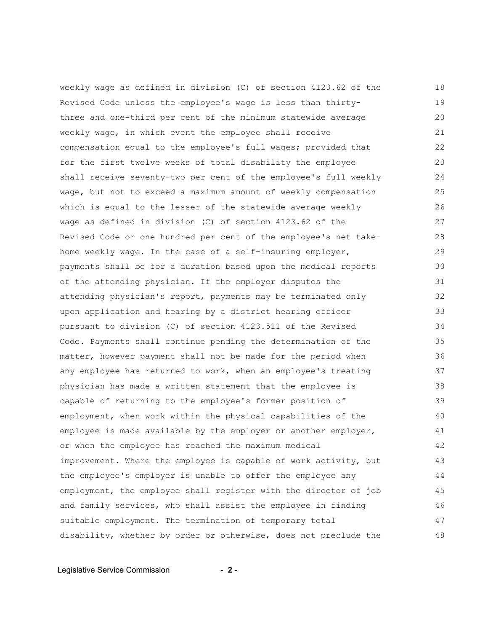weekly wage as defined in division (C) of section 4123.62 of the Revised Code unless the employee's wage is less than thirtythree and one-third per cent of the minimum statewide average weekly wage, in which event the employee shall receive compensation equal to the employee's full wages; provided that for the first twelve weeks of total disability the employee shall receive seventy-two per cent of the employee's full weekly wage, but not to exceed a maximum amount of weekly compensation which is equal to the lesser of the statewide average weekly wage as defined in division (C) of section 4123.62 of the Revised Code or one hundred per cent of the employee's net takehome weekly wage. In the case of a self-insuring employer, payments shall be for a duration based upon the medical reports of the attending physician. If the employer disputes the attending physician's report, payments may be terminated only upon application and hearing by a district hearing officer pursuant to division (C) of section 4123.511 of the Revised Code. Payments shall continue pending the determination of the matter, however payment shall not be made for the period when any employee has returned to work, when an employee's treating physician has made a written statement that the employee is capable of returning to the employee's former position of employment, when work within the physical capabilities of the employee is made available by the employer or another employer, or when the employee has reached the maximum medical improvement. Where the employee is capable of work activity, but the employee's employer is unable to offer the employee any employment, the employee shall register with the director of job and family services, who shall assist the employee in finding suitable employment. The termination of temporary total disability, whether by order or otherwise, does not preclude the 18 19 20 21 22 23 24 25 26 27 28 29 30 31 32 33 34 35 36 37 38 39 40 41 42 43 44 45 46 47 48

Legislative Service Commission - **2** -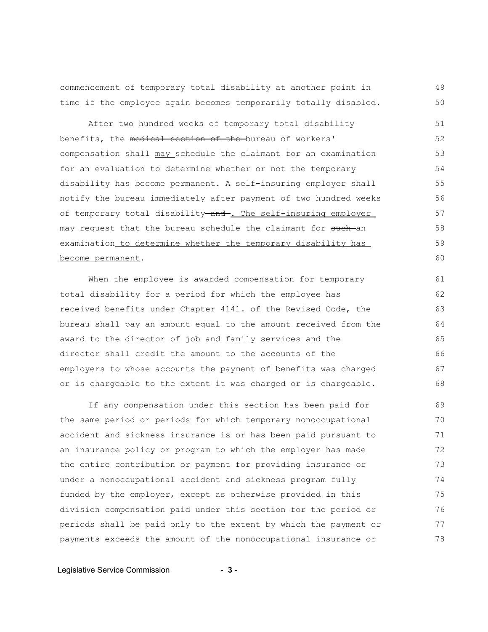commencement of temporary total disability at another point in time if the employee again becomes temporarily totally disabled. 49 50

After two hundred weeks of temporary total disability benefits, the medical section of the bureau of workers' compensation shall may schedule the claimant for an examination for an evaluation to determine whether or not the temporary disability has become permanent. A self-insuring employer shall notify the bureau immediately after payment of two hundred weeks of temporary total disability and . The self-insuring employer may request that the bureau schedule the claimant for such-an examination to determine whether the temporary disability has become permanent.

When the employee is awarded compensation for temporary total disability for a period for which the employee has received benefits under Chapter 4141. of the Revised Code, the bureau shall pay an amount equal to the amount received from the award to the director of job and family services and the director shall credit the amount to the accounts of the employers to whose accounts the payment of benefits was charged or is chargeable to the extent it was charged or is chargeable. 61 62 63 64 65 66 67 68

If any compensation under this section has been paid for the same period or periods for which temporary nonoccupational accident and sickness insurance is or has been paid pursuant to an insurance policy or program to which the employer has made the entire contribution or payment for providing insurance or under a nonoccupational accident and sickness program fully funded by the employer, except as otherwise provided in this division compensation paid under this section for the period or periods shall be paid only to the extent by which the payment or payments exceeds the amount of the nonoccupational insurance or 69 70 71 72 73 74 75 76 77 78

Legislative Service Commission **- 3** -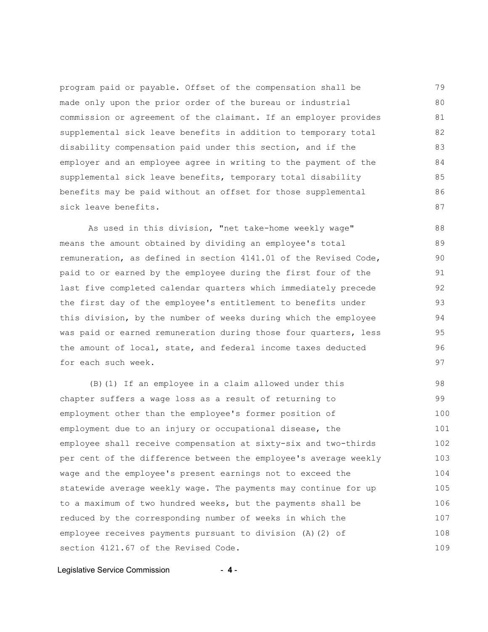program paid or payable. Offset of the compensation shall be made only upon the prior order of the bureau or industrial commission or agreement of the claimant. If an employer provides supplemental sick leave benefits in addition to temporary total disability compensation paid under this section, and if the employer and an employee agree in writing to the payment of the supplemental sick leave benefits, temporary total disability benefits may be paid without an offset for those supplemental sick leave benefits. 79 80 81 82 83 84 85 86 87

As used in this division, "net take-home weekly wage" means the amount obtained by dividing an employee's total remuneration, as defined in section 4141.01 of the Revised Code, paid to or earned by the employee during the first four of the last five completed calendar quarters which immediately precede the first day of the employee's entitlement to benefits under this division, by the number of weeks during which the employee was paid or earned remuneration during those four quarters, less the amount of local, state, and federal income taxes deducted for each such week.

(B)(1) If an employee in a claim allowed under this chapter suffers a wage loss as a result of returning to employment other than the employee's former position of employment due to an injury or occupational disease, the employee shall receive compensation at sixty-six and two-thirds per cent of the difference between the employee's average weekly wage and the employee's present earnings not to exceed the statewide average weekly wage. The payments may continue for up to a maximum of two hundred weeks, but the payments shall be reduced by the corresponding number of weeks in which the employee receives payments pursuant to division (A)(2) of section 4121.67 of the Revised Code. 98 99 100 101 102 103 104 105 106 107 108 109

Legislative Service Commission - **4** -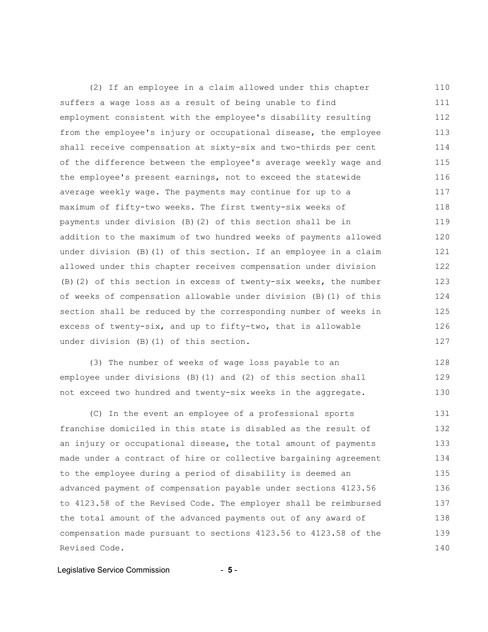(2) If an employee in a claim allowed under this chapter suffers a wage loss as a result of being unable to find employment consistent with the employee's disability resulting from the employee's injury or occupational disease, the employee shall receive compensation at sixty-six and two-thirds per cent of the difference between the employee's average weekly wage and the employee's present earnings, not to exceed the statewide average weekly wage. The payments may continue for up to a maximum of fifty-two weeks. The first twenty-six weeks of payments under division (B)(2) of this section shall be in addition to the maximum of two hundred weeks of payments allowed under division (B)(1) of this section. If an employee in a claim allowed under this chapter receives compensation under division (B)(2) of this section in excess of twenty-six weeks, the number of weeks of compensation allowable under division (B)(1) of this section shall be reduced by the corresponding number of weeks in excess of twenty-six, and up to fifty-two, that is allowable under division (B)(1) of this section. 110 111 112 113 114 115 116 117 118 119 120 121 122 123 124 125 126 127

(3) The number of weeks of wage loss payable to an employee under divisions (B)(1) and (2) of this section shall not exceed two hundred and twenty-six weeks in the aggregate. 128 129 130

(C) In the event an employee of a professional sports franchise domiciled in this state is disabled as the result of an injury or occupational disease, the total amount of payments made under a contract of hire or collective bargaining agreement to the employee during a period of disability is deemed an advanced payment of compensation payable under sections 4123.56 to 4123.58 of the Revised Code. The employer shall be reimbursed the total amount of the advanced payments out of any award of compensation made pursuant to sections 4123.56 to 4123.58 of the Revised Code. 131 132 133 134 135 136 137 138 139 140

Legislative Service Commission **- 5** -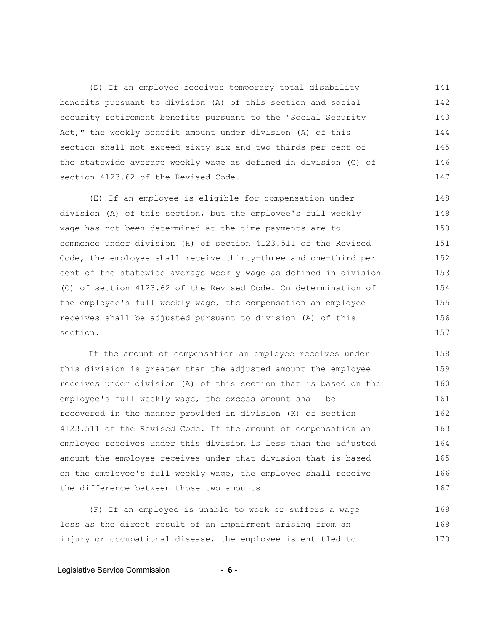(D) If an employee receives temporary total disability benefits pursuant to division (A) of this section and social security retirement benefits pursuant to the "Social Security Act," the weekly benefit amount under division (A) of this section shall not exceed sixty-six and two-thirds per cent of the statewide average weekly wage as defined in division (C) of section 4123.62 of the Revised Code. 141 142 143 144 145 146 147

(E) If an employee is eligible for compensation under division (A) of this section, but the employee's full weekly wage has not been determined at the time payments are to commence under division (H) of section 4123.511 of the Revised Code, the employee shall receive thirty-three and one-third per cent of the statewide average weekly wage as defined in division (C) of section 4123.62 of the Revised Code. On determination of the employee's full weekly wage, the compensation an employee receives shall be adjusted pursuant to division (A) of this section. 148 149 150 151 152 153 154 155 156 157

If the amount of compensation an employee receives under this division is greater than the adjusted amount the employee receives under division (A) of this section that is based on the employee's full weekly wage, the excess amount shall be recovered in the manner provided in division (K) of section 4123.511 of the Revised Code. If the amount of compensation an employee receives under this division is less than the adjusted amount the employee receives under that division that is based on the employee's full weekly wage, the employee shall receive the difference between those two amounts. 158 159 160 161 162 163 164 165 166 167

(F) If an employee is unable to work or suffers a wage loss as the direct result of an impairment arising from an injury or occupational disease, the employee is entitled to 168 169 170

Legislative Service Commission **6 - 6** -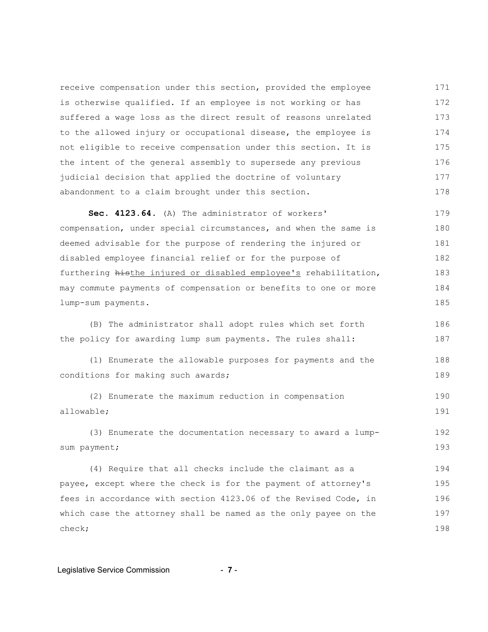receive compensation under this section, provided the employee is otherwise qualified. If an employee is not working or has suffered a wage loss as the direct result of reasons unrelated to the allowed injury or occupational disease, the employee is not eligible to receive compensation under this section. It is the intent of the general assembly to supersede any previous judicial decision that applied the doctrine of voluntary abandonment to a claim brought under this section. 171 172 173 174 175 176 177 178

**Sec. 4123.64.** (A) The administrator of workers' compensation, under special circumstances, and when the same is deemed advisable for the purpose of rendering the injured or disabled employee financial relief or for the purpose of furthering histhe injured or disabled employee's rehabilitation, may commute payments of compensation or benefits to one or more lump-sum payments. 179 180 181 182 183 184 185

(B) The administrator shall adopt rules which set forth the policy for awarding lump sum payments. The rules shall: 186 187

(1) Enumerate the allowable purposes for payments and the conditions for making such awards; 188 189

(2) Enumerate the maximum reduction in compensation allowable; 190 191

(3) Enumerate the documentation necessary to award a lumpsum payment; 192 193

(4) Require that all checks include the claimant as a payee, except where the check is for the payment of attorney's fees in accordance with section 4123.06 of the Revised Code, in which case the attorney shall be named as the only payee on the check; 194 195 196 197 198

Legislative Service Commission - 7 -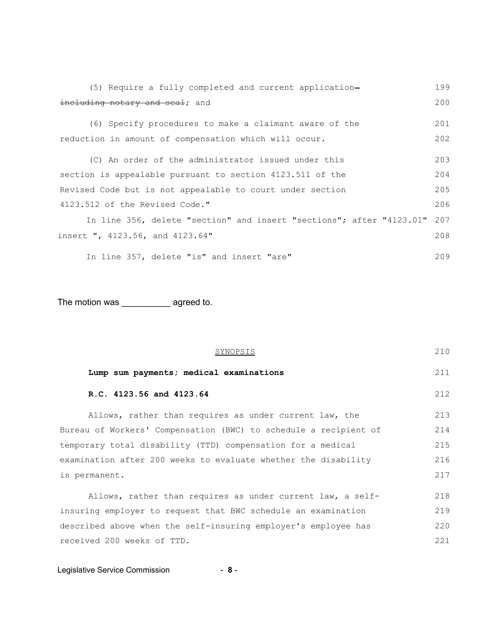| (5) Require a fully completed and current application-                   | 199 |
|--------------------------------------------------------------------------|-----|
| including notary and seal; and                                           | 200 |
| (6) Specify procedures to make a claimant aware of the                   | 201 |
| reduction in amount of compensation which will occur.                    | 202 |
| (C) An order of the administrator issued under this                      | 203 |
| section is appealable pursuant to section 4123.511 of the                | 204 |
| Revised Code but is not appealable to court under section                | 205 |
| 4123.512 of the Revised Code."                                           | 206 |
| In line 356, delete "section" and insert "sections"; after "4123.01" 207 |     |
| insert ", 4123.56, and 4123.64"                                          | 208 |
| In line 357, delete "is" and insert "are"                                | 209 |

In line 357, delete "is" and insert "are"

The motion was \_\_\_\_\_\_\_\_\_\_\_\_ agreed to.

| SYNOPSIS                                                         | 210 |  |  |  |  |  |
|------------------------------------------------------------------|-----|--|--|--|--|--|
| Lump sum payments; medical examinations                          | 211 |  |  |  |  |  |
| R.C. 4123.56 and 4123.64                                         | 212 |  |  |  |  |  |
| Allows, rather than requires as under current law, the           | 213 |  |  |  |  |  |
| Bureau of Workers' Compensation (BWC) to schedule a recipient of | 214 |  |  |  |  |  |
| temporary total disability (TTD) compensation for a medical      | 215 |  |  |  |  |  |
| examination after 200 weeks to evaluate whether the disability   |     |  |  |  |  |  |
| is permanent.                                                    |     |  |  |  |  |  |
| Allows, rather than requires as under current law, a self-       | 218 |  |  |  |  |  |
| insuring employer to request that BWC schedule an examination    | 219 |  |  |  |  |  |
| described above when the self-insuring employer's employee has   | 220 |  |  |  |  |  |
| 221<br>received 200 weeks of TTD.                                |     |  |  |  |  |  |

Legislative Service Commission **- 8** -